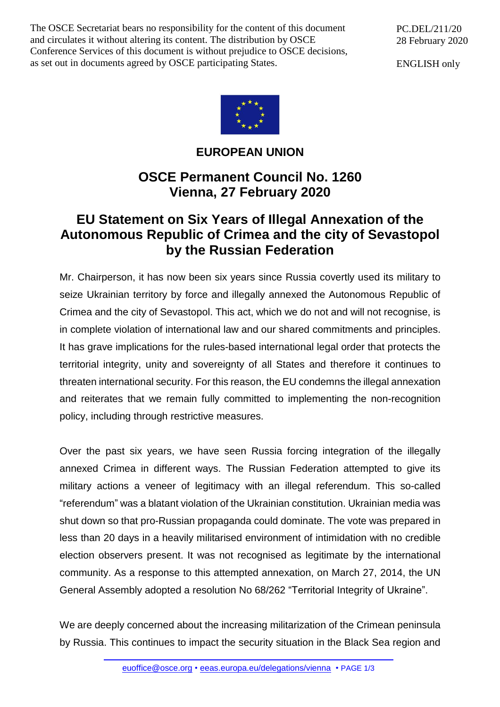The OSCE Secretariat bears no responsibility for the content of this document and circulates it without altering its content. The distribution by OSCE Conference Services of this document is without prejudice to OSCE decisions, as set out in documents agreed by OSCE participating States.

PC.DEL/211/20 28 February 2020

ENGLISH only



## **EUROPEAN UNION**

## **OSCE Permanent Council No. 1260 Vienna, 27 February 2020**

## **EU Statement on Six Years of Illegal Annexation of the Autonomous Republic of Crimea and the city of Sevastopol by the Russian Federation**

Mr. Chairperson, it has now been six years since Russia covertly used its military to seize Ukrainian territory by force and illegally annexed the Autonomous Republic of Crimea and the city of Sevastopol. This act, which we do not and will not recognise, is in complete violation of international law and our shared commitments and principles. It has grave implications for the rules-based international legal order that protects the territorial integrity, unity and sovereignty of all States and therefore it continues to threaten international security. For this reason, the EU condemns the illegal annexation and reiterates that we remain fully committed to implementing the non-recognition policy, including through restrictive measures.

Over the past six years, we have seen Russia forcing integration of the illegally annexed Crimea in different ways. The Russian Federation attempted to give its military actions a veneer of legitimacy with an illegal referendum. This so-called "referendum" was a blatant violation of the Ukrainian constitution. Ukrainian media was shut down so that pro-Russian propaganda could dominate. The vote was prepared in less than 20 days in a heavily militarised environment of intimidation with no credible election observers present. It was not recognised as legitimate by the international community. As a response to this attempted annexation, on March 27, 2014, the UN General Assembly adopted a resolution No 68/262 "Territorial Integrity of Ukraine".

We are deeply concerned about the increasing militarization of the Crimean peninsula by Russia. This continues to impact the security situation in the Black Sea region and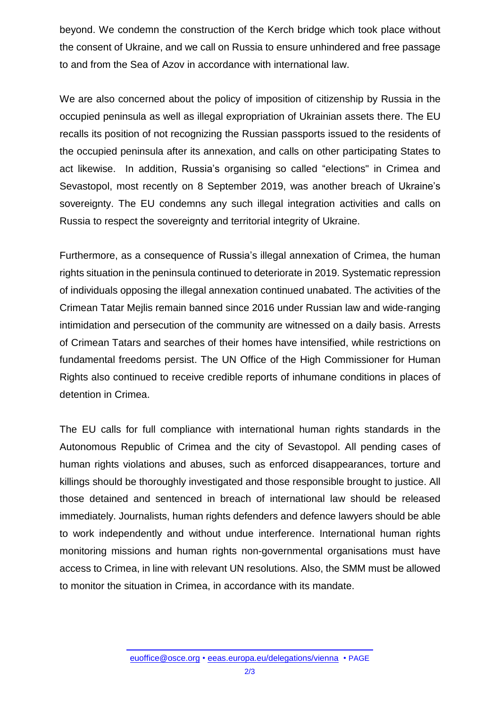beyond. We condemn the construction of the Kerch bridge which took place without the consent of Ukraine, and we call on Russia to ensure unhindered and free passage to and from the Sea of Azov in accordance with international law.

We are also concerned about the policy of imposition of citizenship by Russia in the occupied peninsula as well as illegal expropriation of Ukrainian assets there. The EU recalls its position of not recognizing the Russian passports issued to the residents of the occupied peninsula after its annexation, and calls on other participating States to act likewise. In addition, Russia's organising so called "elections" in Crimea and Sevastopol, most recently on 8 September 2019, was another breach of Ukraine's sovereignty. The EU condemns any such illegal integration activities and calls on Russia to respect the sovereignty and territorial integrity of Ukraine.

Furthermore, as a consequence of Russia's illegal annexation of Crimea, the human rights situation in the peninsula continued to deteriorate in 2019. Systematic repression of individuals opposing the illegal annexation continued unabated. The activities of the Crimean Tatar Mejlis remain banned since 2016 under Russian law and wide-ranging intimidation and persecution of the community are witnessed on a daily basis. Arrests of Crimean Tatars and searches of their homes have intensified, while restrictions on fundamental freedoms persist. The UN Office of the High Commissioner for Human Rights also continued to receive credible reports of inhumane conditions in places of detention in Crimea.

The EU calls for full compliance with international human rights standards in the Autonomous Republic of Crimea and the city of Sevastopol. All pending cases of human rights violations and abuses, such as enforced disappearances, torture and killings should be thoroughly investigated and those responsible brought to justice. All those detained and sentenced in breach of international law should be released immediately. Journalists, human rights defenders and defence lawyers should be able to work independently and without undue interference. International human rights monitoring missions and human rights non-governmental organisations must have access to Crimea, in line with relevant UN resolutions. Also, the SMM must be allowed to monitor the situation in Crimea, in accordance with its mandate.